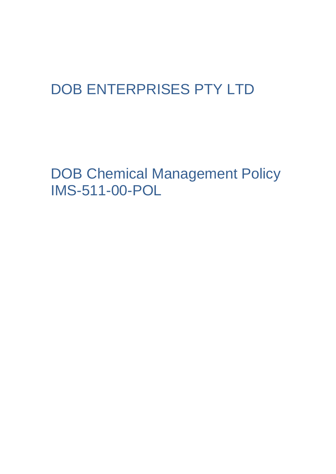## DOB ENTERPRISES PTY LTD

DOB Chemical Management Policy IMS-511-00-POL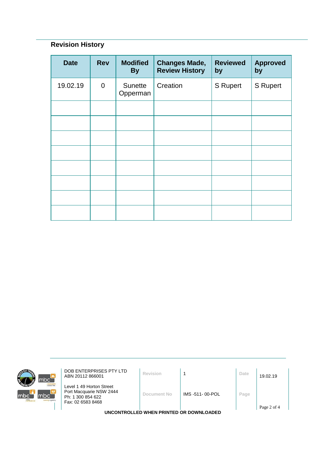## **Revision History**

| <b>Date</b> | <b>Rev</b>  | <b>Modified</b><br><b>By</b> | <b>Changes Made,</b><br><b>Review History</b> | <b>Reviewed</b><br>by | <b>Approved</b><br>by |
|-------------|-------------|------------------------------|-----------------------------------------------|-----------------------|-----------------------|
| 19.02.19    | $\mathbf 0$ | Sunette<br>Opperman          | Creation                                      | S Rupert              | <b>S</b> Rupert       |
|             |             |                              |                                               |                       |                       |
|             |             |                              |                                               |                       |                       |
|             |             |                              |                                               |                       |                       |
|             |             |                              |                                               |                       |                       |
|             |             |                              |                                               |                       |                       |
|             |             |                              |                                               |                       |                       |
|             |             |                              |                                               |                       |                       |
|             |             |                              |                                               |                       |                       |



**DOB ENTERPRISES PTY LTD**<br>ABN 20112 866001 **Revision** 1 **Date** 19.02.19

Level 1 49 Horton Street Port Macquarie NSW 2444 Ph: 1 300 854 622 Fax: 02 6583 8468

**Document No** IMS -511- 00-POL **Page**

**UNCONTROLLED WHEN PRINTED OR DOWNLOADED**

Page 2 of 4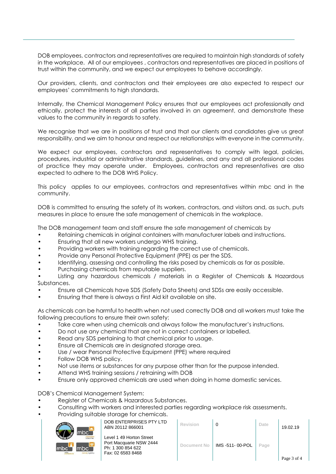DOB employees, contractors and representatives are required to maintain high standards of safety in the workplace. All of our employees , contractors and representatives are placed in positions of trust within the community, and we expect our employees to behave accordingly.

Our providers, clients, and contractors and their employees are also expected to respect our employees' commitments to high standards.

Internally, the Chemical Management Policy ensures that our employees act professionally and ethically, protect the interests of all parties involved in an agreement, and demonstrate these values to the community in regards to safety.

We recognise that we are in positions of trust and that our clients and candidates give us great responsibility, and we aim to honour and respect our relationships with everyone in the community.

We expect our employees, contractors and representatives to comply with legal, policies, procedures, industrial or administrative standards, guidelines, and any and all professional codes of practice they may operate under. Employees, contractors and representatives are also expected to adhere to the DOB WHS Policy.

This policy applies to our employees, contractors and representatives within mbc and in the community.

DOB is committed to ensuring the safety of its workers, contractors, and visitors and, as such, puts measures in place to ensure the safe management of chemicals in the workplace.

The DOB management team and staff ensure the safe management of chemicals by

- Retaining chemicals in original containers with manufacturer labels and instructions.
- Ensuring that all new workers undergo WHS training.
- Providing workers with training regarding the correct use of chemicals.
- Provide any Personal Protective Equipment (PPE) as per the SDS.
- Identifying, assessing and controlling the risks posed by chemicals as far as possible.
- Purchasing chemicals from reputable suppliers.

• Listing any hazardous chemicals / materials in a Register of Chemicals & Hazardous Substances.

- Ensure all Chemicals have SDS (Safety Data Sheets) and SDSs are easily accessible.
- Ensuring that there is always a First Aid kit available on site.

As chemicals can be harmful to health when not used correctly DOB and all workers must take the following precautions to ensure their own safety:

- Take care when using chemicals and always follow the manufacturer's instructions.
- Do not use any chemical that are not in correct containers or labelled.
- Read any SDS pertaining to that chemical prior to usage.
- Ensure all Chemicals are in designated storage area.
- Use / wear Personal Protective Equipment (PPE) where required
- Follow DOB WHS policy.
- Not use items or substances for any purpose other than for the purpose intended.
- Attend WHS training sessions / retraining with DOB
- Ensure only approved chemicals are used when doing in home domestic services.

DOB's Chemical Management System:

- Register of Chemicals & Hazardous Substances.
- Consulting with workers and interested parties regarding workplace risk assessments.

• Providing suitable storage for chemicals.



DOB ENTERPRISES PTY LTD ABN 20112 866001 **Revision** <sup>0</sup> **Date** 19.02.19

Level 1 49 Horton Street Port Macquarie NSW 2444 Ph: 1 300 854 622 Fax: 02 6583 8468

| Revision           | 0              | Date | 19.02.19    |
|--------------------|----------------|------|-------------|
| <b>Document No</b> | IMS-511-00-POL | Page | Page 3 of 4 |